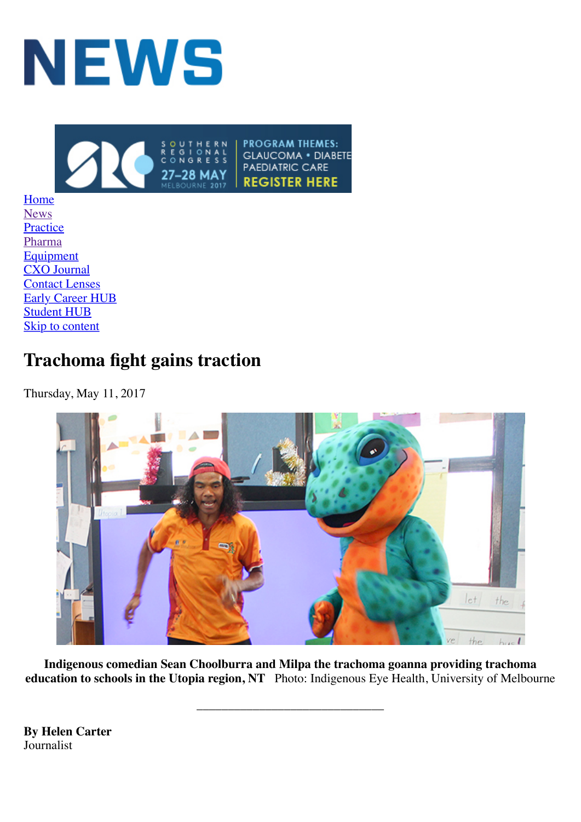



[Home](http://www.optometry.org.au/publications/news-and-features.aspx) [News](http://www.optometry.org.au/blog-news/) **[Practice](http://www.optometry.org.au/blog-practice/)** [Pharma](http://www.optometry.org.au/blog-pharma/) **[Equipment](http://www.optometry.org.au/blog-equipment/)** [CXO Journal](http://www.optometry.org.au/cxo-journal/) [Contact Lenses](http://www.optometry.org.au/blog-contact-lenses/) [Early Career HUB](http://www.optometry.org.au/early-career-hub/) [Student HUB](http://www.optometry.org.au/student-hub/) [Skip to content](#page-0-0)

## <span id="page-0-0"></span>**Trachoma fight gains traction**

Thursday, May 11, 2017



**Indigenous comedian Sean Choolburra and Milpa the trachoma goanna providing trachoma education to schools in the Utopia region, NT** Photo: Indigenous Eye Health, University of Melbourne

\_\_\_\_\_\_\_\_\_\_\_\_\_\_\_\_\_\_\_\_\_\_\_\_\_\_\_\_\_\_

**By Helen Carter** Journalist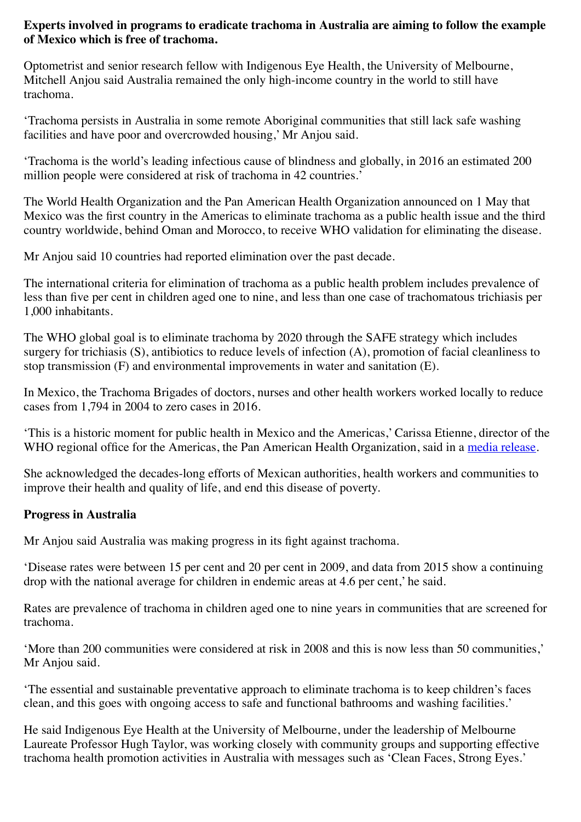## **Experts involved in programs to eradicate trachoma in Australia are aiming to follow the example of Mexico which is free of trachoma.**

Optometrist and senior research fellow with Indigenous Eye Health, the University of Melbourne, Mitchell Anjou said Australia remained the only high-income country in the world to still have trachoma.

'Trachoma persists in Australia in some remote Aboriginal communities that still lack safe washing facilities and have poor and overcrowded housing,' Mr Anjou said.

'Trachoma is the world's leading infectious cause of blindness and globally, in 2016 an estimated 200 million people were considered at risk of trachoma in 42 countries.'

The World Health Organization and the Pan American Health Organization announced on 1 May that Mexico was the first country in the Americas to eliminate trachoma as a public health issue and the third country worldwide, behind Oman and Morocco, to receive WHO validation for eliminating the disease.

Mr Anjou said 10 countries had reported elimination over the past decade.

The international criteria for elimination of trachoma as a public health problem includes prevalence of less than five per cent in children aged one to nine, and less than one case of trachomatous trichiasis per 1,000 inhabitants.

The WHO global goal is to eliminate trachoma by 2020 through the SAFE strategy which includes surgery for trichiasis (S), antibiotics to reduce levels of infection (A), promotion of facial cleanliness to stop transmission (F) and environmental improvements in water and sanitation (E).

In Mexico, the Trachoma Brigades of doctors, nurses and other health workers worked locally to reduce cases from 1,794 in 2004 to zero cases in 2016.

'This is a historic moment for public health in Mexico and the Americas,' Carissa Etienne, director of the WHO regional office for the Americas, the Pan American Health Organization, said in a [media release](http://www2.paho.org/hq/index.php?option=com_content&view=article&id=13179%3Amexico-eliminates-trachoma-leading-infectious-cause-blindness&catid=740%3Apress-releases&Itemid=1926&lang=en).

She acknowledged the decades-long efforts of Mexican authorities, health workers and communities to improve their health and quality of life, and end this disease of poverty.

## **Progress in Australia**

Mr Anjou said Australia was making progress in its fight against trachoma.

'Disease rates were between 15 per cent and 20 per cent in 2009, and data from 2015 show a continuing drop with the national average for children in endemic areas at 4.6 per cent,' he said.

Rates are prevalence of trachoma in children aged one to nine years in communities that are screened for trachoma.

'More than 200 communities were considered at risk in 2008 and this is now less than 50 communities,' Mr Anjou said.

'The essential and sustainable preventative approach to eliminate trachoma is to keep children's faces clean, and this goes with ongoing access to safe and functional bathrooms and washing facilities.'

He said Indigenous Eye Health at the University of Melbourne, under the leadership of Melbourne Laureate Professor Hugh Taylor, was working closely with community groups and supporting effective trachoma health promotion activities in Australia with messages such as 'Clean Faces, Strong Eyes.'